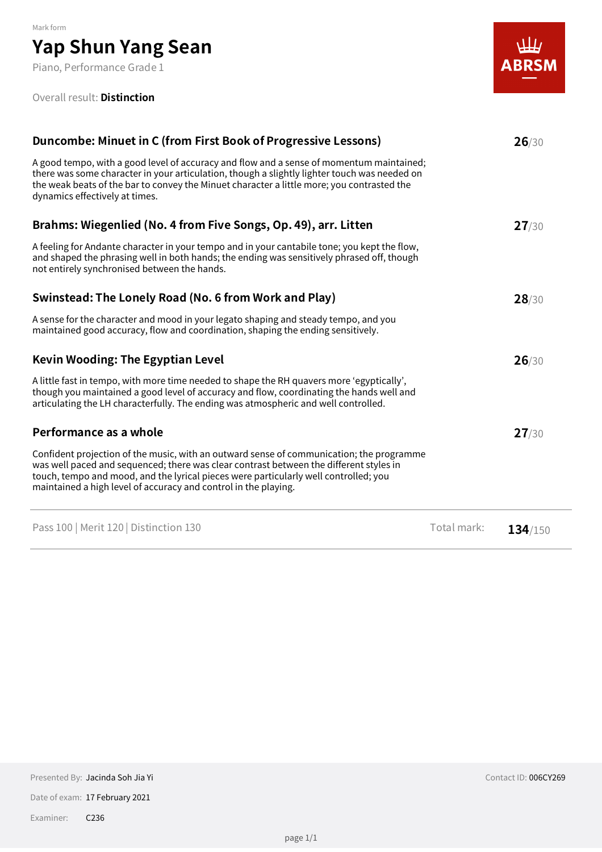Piano, Performance Grade 1

#### Overall result: **Distinction**



| Duncombe: Minuet in C (from First Book of Progressive Lessons)                                                                                                                                                                                                                                                                                |             | 26/30   |  |  |
|-----------------------------------------------------------------------------------------------------------------------------------------------------------------------------------------------------------------------------------------------------------------------------------------------------------------------------------------------|-------------|---------|--|--|
| A good tempo, with a good level of accuracy and flow and a sense of momentum maintained;<br>there was some character in your articulation, though a slightly lighter touch was needed on<br>the weak beats of the bar to convey the Minuet character a little more; you contrasted the<br>dynamics effectively at times.                      |             |         |  |  |
| Brahms: Wiegenlied (No. 4 from Five Songs, Op. 49), arr. Litten                                                                                                                                                                                                                                                                               |             | 27/30   |  |  |
| A feeling for Andante character in your tempo and in your cantabile tone; you kept the flow,<br>and shaped the phrasing well in both hands; the ending was sensitively phrased off, though<br>not entirely synchronised between the hands.                                                                                                    |             |         |  |  |
| Swinstead: The Lonely Road (No. 6 from Work and Play)                                                                                                                                                                                                                                                                                         |             | 28/30   |  |  |
| A sense for the character and mood in your legato shaping and steady tempo, and you<br>maintained good accuracy, flow and coordination, shaping the ending sensitively.                                                                                                                                                                       |             |         |  |  |
| <b>Kevin Wooding: The Egyptian Level</b>                                                                                                                                                                                                                                                                                                      |             | 26/30   |  |  |
| A little fast in tempo, with more time needed to shape the RH quavers more 'egyptically',<br>though you maintained a good level of accuracy and flow, coordinating the hands well and<br>articulating the LH characterfully. The ending was atmospheric and well controlled.                                                                  |             |         |  |  |
| Performance as a whole                                                                                                                                                                                                                                                                                                                        |             | 27/30   |  |  |
| Confident projection of the music, with an outward sense of communication; the programme<br>was well paced and sequenced; there was clear contrast between the different styles in<br>touch, tempo and mood, and the lyrical pieces were particularly well controlled; you<br>maintained a high level of accuracy and control in the playing. |             |         |  |  |
| Pass 100   Merit 120   Distinction 130                                                                                                                                                                                                                                                                                                        | Total mark: | 134/150 |  |  |

Date of exam: 17 February 2021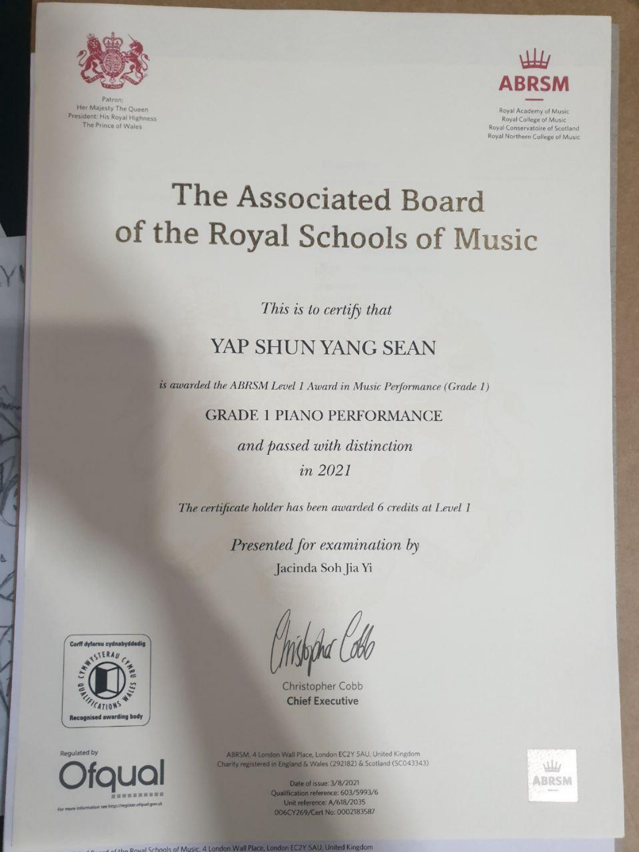

Patron: Her Majesty The Queen President: His Royal Highness The Prince of Wales



Royal Academy of Music Royal College of Music Royal Conservatoire of Scotland Royal Northern College of Music

# The Associated Board of the Royal Schools of Music

This is to certify that

## YAP SHUN YANG SEAN

is awarded the ABRSM Level 1 Award in Music Performance (Grade 1)

**GRADE 1 PIANO PERFORMANCE** 

and passed with distinction in 2021

The certificate holder has been awarded 6 credits at Level 1

Presented for examination by Jacinda Soh Jia Yi





Regulated by



For more information see http://register.ofqual.gov.uk

ABRSM, 4 London Wall Place, London EC2Y 5AU, United Kingdom Charity registered in England & Wales (292182) & Scotland (SCO43343)

> Date of issue: 3/8/2021 Qualification reference: 603/5993/6 Unit reference: A/618/2035 006CY269/Cert No: 0002183587



of the Royal Schools of Music, 4 London Wall Place, London EC2Y SAU, United Kingdom